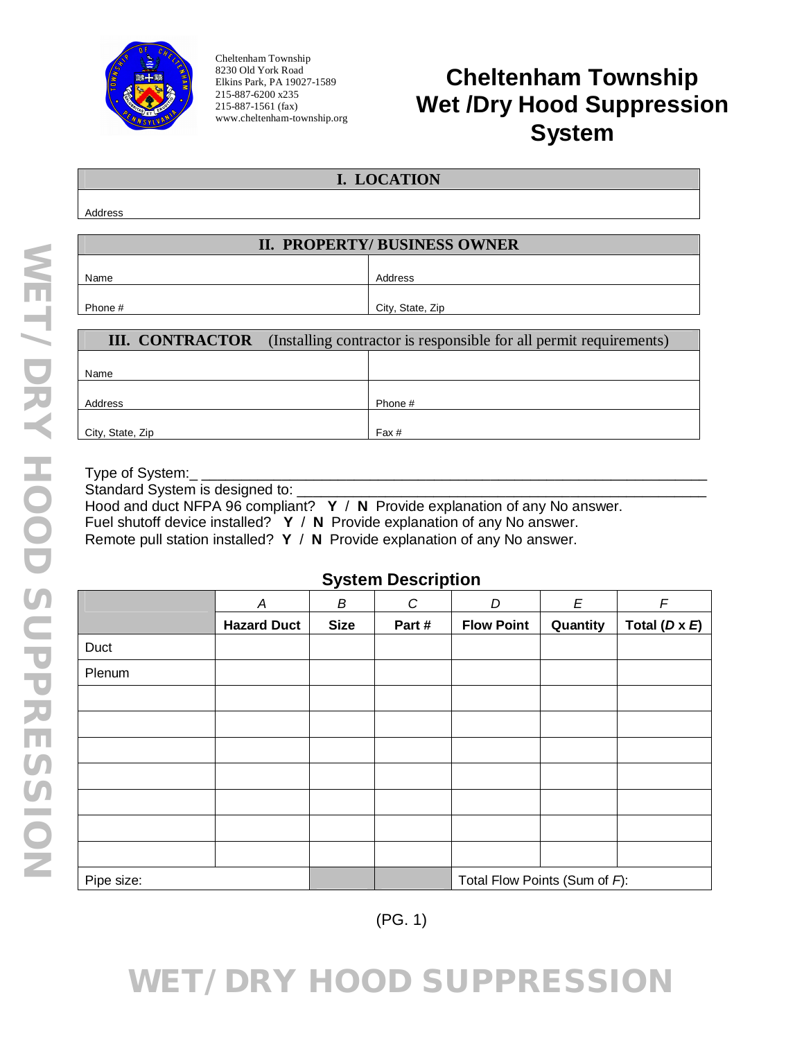

Cheltenham Township 8230 Old York Road Elkins Park, PA 19027-1589 215-887-6200 x235 215-887-1561 (fax) www.cheltenham-township.org

City, State, Zip **Fax #** 

## **Cheltenham Township Wet /Dry Hood Suppression System**

| I. LOCATION                                                                               |                  |  |  |  |
|-------------------------------------------------------------------------------------------|------------------|--|--|--|
|                                                                                           |                  |  |  |  |
| Address                                                                                   |                  |  |  |  |
|                                                                                           |                  |  |  |  |
| <b>II. PROPERTY/BUSINESS OWNER</b>                                                        |                  |  |  |  |
|                                                                                           |                  |  |  |  |
| Name                                                                                      | Address          |  |  |  |
|                                                                                           |                  |  |  |  |
| Phone#                                                                                    | City, State, Zip |  |  |  |
|                                                                                           |                  |  |  |  |
| <b>III. CONTRACTOR</b> (Installing contractor is responsible for all permit requirements) |                  |  |  |  |
|                                                                                           |                  |  |  |  |
| Name                                                                                      |                  |  |  |  |
|                                                                                           |                  |  |  |  |
| Address                                                                                   | Phone #          |  |  |  |
|                                                                                           |                  |  |  |  |

Type of System: Standard System is designed to: Hood and duct NFPA 96 compliant? **Y** / **N** Provide explanation of any No answer. Fuel shutoff device installed? **Y** / **N** Provide explanation of any No answer. Remote pull station installed? **Y** / **N** Provide explanation of any No answer.

**System Description**

|            | A                  | B           | C     | D                             | E        | $\sqrt{F}$           |
|------------|--------------------|-------------|-------|-------------------------------|----------|----------------------|
|            | <b>Hazard Duct</b> | <b>Size</b> | Part# | <b>Flow Point</b>             | Quantity | Total $(D \times E)$ |
| Duct       |                    |             |       |                               |          |                      |
| Plenum     |                    |             |       |                               |          |                      |
|            |                    |             |       |                               |          |                      |
|            |                    |             |       |                               |          |                      |
|            |                    |             |       |                               |          |                      |
|            |                    |             |       |                               |          |                      |
|            |                    |             |       |                               |          |                      |
|            |                    |             |       |                               |          |                      |
|            |                    |             |       |                               |          |                      |
| Pipe size: |                    |             |       | Total Flow Points (Sum of F): |          |                      |